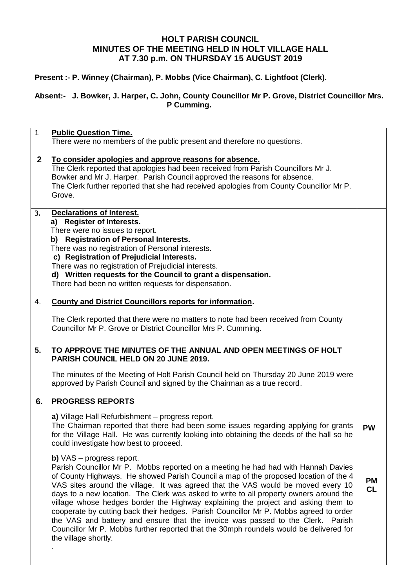## **HOLT PARISH COUNCIL MINUTES OF THE MEETING HELD IN HOLT VILLAGE HALL AT 7.30 p.m. ON THURSDAY 15 AUGUST 2019**

## **Present :- P. Winney (Chairman), P. Mobbs (Vice Chairman), C. Lightfoot (Clerk).**

## **Absent:- J. Bowker, J. Harper, C. John, County Councillor Mr P. Grove, District Councillor Mrs. P Cumming.**

| $\mathbf{1}$   | <b>Public Question Time.</b><br>There were no members of the public present and therefore no questions.                                                                                                                                                                                                                                                                                                                                                                                                                                                                                                                                                                                                                                                                                                                                                                                                                                                                                                                                                                                       |                              |
|----------------|-----------------------------------------------------------------------------------------------------------------------------------------------------------------------------------------------------------------------------------------------------------------------------------------------------------------------------------------------------------------------------------------------------------------------------------------------------------------------------------------------------------------------------------------------------------------------------------------------------------------------------------------------------------------------------------------------------------------------------------------------------------------------------------------------------------------------------------------------------------------------------------------------------------------------------------------------------------------------------------------------------------------------------------------------------------------------------------------------|------------------------------|
| $\overline{2}$ | To consider apologies and approve reasons for absence.<br>The Clerk reported that apologies had been received from Parish Councillors Mr J.<br>Bowker and Mr J. Harper. Parish Council approved the reasons for absence.<br>The Clerk further reported that she had received apologies from County Councillor Mr P.<br>Grove.                                                                                                                                                                                                                                                                                                                                                                                                                                                                                                                                                                                                                                                                                                                                                                 |                              |
| 3.             | <b>Declarations of Interest.</b><br>a) Register of Interests.<br>There were no issues to report.<br>b) Registration of Personal Interests.<br>There was no registration of Personal interests.<br>c) Registration of Prejudicial Interests.<br>There was no registration of Prejudicial interests.<br>d) Written requests for the Council to grant a dispensation.<br>There had been no written requests for dispensation.                                                                                                                                                                                                                                                                                                                                                                                                                                                                                                                                                                                                                                                                    |                              |
| 4.             | <b>County and District Councillors reports for information.</b><br>The Clerk reported that there were no matters to note had been received from County<br>Councillor Mr P. Grove or District Councillor Mrs P. Cumming.                                                                                                                                                                                                                                                                                                                                                                                                                                                                                                                                                                                                                                                                                                                                                                                                                                                                       |                              |
| 5.             | TO APPROVE THE MINUTES OF THE ANNUAL AND OPEN MEETINGS OF HOLT<br>PARISH COUNCIL HELD ON 20 JUNE 2019.<br>The minutes of the Meeting of Holt Parish Council held on Thursday 20 June 2019 were<br>approved by Parish Council and signed by the Chairman as a true record.                                                                                                                                                                                                                                                                                                                                                                                                                                                                                                                                                                                                                                                                                                                                                                                                                     |                              |
| 6.             | <b>PROGRESS REPORTS</b><br>a) Village Hall Refurbishment - progress report.<br>The Chairman reported that there had been some issues regarding applying for grants<br>for the Village Hall. He was currently looking into obtaining the deeds of the hall so he<br>could investigate how best to proceed.<br><b>b)</b> $VAS - progress report.$<br>Parish Councillor Mr P. Mobbs reported on a meeting he had had with Hannah Davies<br>of County Highways. He showed Parish Council a map of the proposed location of the 4<br>VAS sites around the village. It was agreed that the VAS would be moved every 10<br>days to a new location. The Clerk was asked to write to all property owners around the<br>village whose hedges border the Highway explaining the project and asking them to<br>cooperate by cutting back their hedges. Parish Councillor Mr P. Mobbs agreed to order<br>the VAS and battery and ensure that the invoice was passed to the Clerk. Parish<br>Councillor Mr P. Mobbs further reported that the 30mph roundels would be delivered for<br>the village shortly. | <b>PW</b><br>PМ<br><b>CL</b> |
|                |                                                                                                                                                                                                                                                                                                                                                                                                                                                                                                                                                                                                                                                                                                                                                                                                                                                                                                                                                                                                                                                                                               |                              |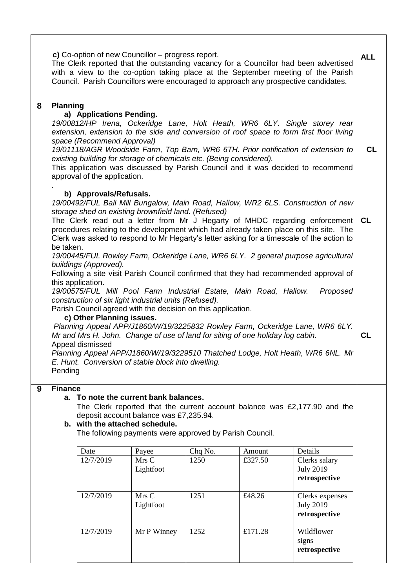|   | c) Co-option of new Councillor – progress report.<br>The Clerk reported that the outstanding vacancy for a Councillor had been advertised<br>with a view to the co-option taking place at the September meeting of the Parish<br>Council. Parish Councillors were encouraged to approach any prospective candidates.                                                                                                                                                                                                                                                                                                                                                                                                                                                                                                                                                                                                                                                                                                                                                                                          |           |                    |      |         |                                                      |  |  |
|---|---------------------------------------------------------------------------------------------------------------------------------------------------------------------------------------------------------------------------------------------------------------------------------------------------------------------------------------------------------------------------------------------------------------------------------------------------------------------------------------------------------------------------------------------------------------------------------------------------------------------------------------------------------------------------------------------------------------------------------------------------------------------------------------------------------------------------------------------------------------------------------------------------------------------------------------------------------------------------------------------------------------------------------------------------------------------------------------------------------------|-----------|--------------------|------|---------|------------------------------------------------------|--|--|
| 8 | <b>Planning</b><br>a) Applications Pending.<br>19/00812/HP Irena, Ockeridge Lane, Holt Heath, WR6 6LY. Single storey rear<br>extension, extension to the side and conversion of roof space to form first floor living<br>space (Recommend Approval)<br>19/01118/AGR Woodside Farm, Top Barn, WR6 6TH. Prior notification of extension to<br>existing building for storage of chemicals etc. (Being considered).<br>This application was discussed by Parish Council and it was decided to recommend<br>approval of the application.                                                                                                                                                                                                                                                                                                                                                                                                                                                                                                                                                                           |           |                    |      |         |                                                      |  |  |
|   | b) Approvals/Refusals.<br>19/00492/FUL Ball Mill Bungalow, Main Road, Hallow, WR2 6LS. Construction of new<br>storage shed on existing brownfield land. (Refused)<br>The Clerk read out a letter from Mr J Hegarty of MHDC regarding enforcement<br>procedures relating to the development which had already taken place on this site. The<br>Clerk was asked to respond to Mr Hegarty's letter asking for a timescale of the action to<br>be taken.<br>19/00445/FUL Rowley Farm, Ockeridge Lane, WR6 6LY. 2 general purpose agricultural<br>buildings (Approved).<br>Following a site visit Parish Council confirmed that they had recommended approval of<br>this application.<br>19/00575/FUL Mill Pool Farm Industrial Estate, Main Road, Hallow.<br>Proposed<br>construction of six light industrial units (Refused).<br>Parish Council agreed with the decision on this application.<br>c) Other Planning issues.<br>Planning Appeal APP/J1860/W/19/3225832 Rowley Farm, Ockeridge Lane, WR6 6LY.<br>Mr and Mrs H. John. Change of use of land for siting of one holiday log cabin.<br>Appeal dismissed |           |                    |      |         |                                                      |  |  |
|   | Planning Appeal APP/J1860/W/19/3229510 Thatched Lodge, Holt Heath, WR6 6NL. Mr<br>E. Hunt. Conversion of stable block into dwelling.<br>Pending                                                                                                                                                                                                                                                                                                                                                                                                                                                                                                                                                                                                                                                                                                                                                                                                                                                                                                                                                               |           |                    |      |         |                                                      |  |  |
|   | <b>Finance</b><br>9<br>a. To note the current bank balances.<br>The Clerk reported that the current account balance was £2,177.90 and the<br>deposit account balance was £7,235.94.<br>b. with the attached schedule.<br>The following payments were approved by Parish Council.<br>Date<br>Chq No.<br>Details<br>Payee<br>Amount<br>Mrs C<br>12/7/2019<br>1250<br>£327.50<br>Clerks salary<br>Lightfoot<br><b>July 2019</b><br>retrospective                                                                                                                                                                                                                                                                                                                                                                                                                                                                                                                                                                                                                                                                 |           |                    |      |         |                                                      |  |  |
|   |                                                                                                                                                                                                                                                                                                                                                                                                                                                                                                                                                                                                                                                                                                                                                                                                                                                                                                                                                                                                                                                                                                               | 12/7/2019 | Mrs C<br>Lightfoot | 1251 | £48.26  | Clerks expenses<br><b>July 2019</b><br>retrospective |  |  |
|   |                                                                                                                                                                                                                                                                                                                                                                                                                                                                                                                                                                                                                                                                                                                                                                                                                                                                                                                                                                                                                                                                                                               | 12/7/2019 | Mr P Winney        | 1252 | £171.28 | Wildflower<br>signs<br>retrospective                 |  |  |